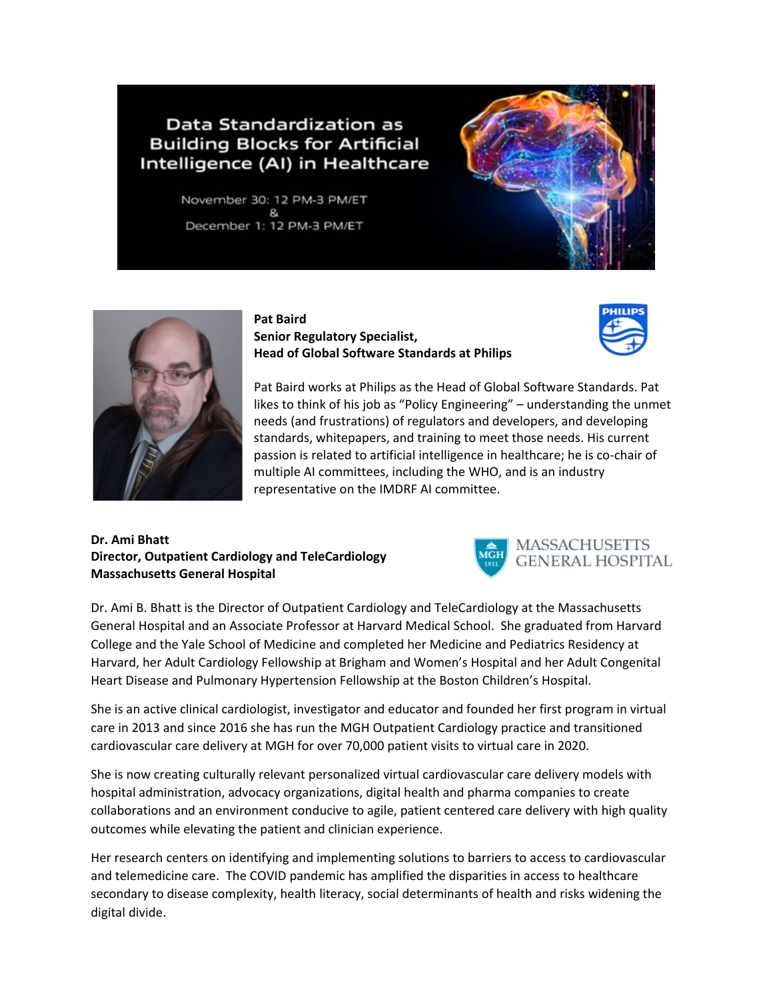# Data Standardization as **Building Blocks for Artificial** Intelligence (AI) in Healthcare

November 30: 12 PM-3 PM/ET December 1: 12 PM-3 PM/ET





**Pat Baird Senior Regulatory Specialist, Head of Global Software Standards at Philips**



Pat Baird works at Philips as the Head of Global Software Standards. Pat likes to think of his job as "Policy Engineering" – understanding the unmet needs (and frustrations) of regulators and developers, and developing standards, whitepapers, and training to meet those needs. His current passion is related to artificial intelligence in healthcare; he is co-chair of multiple AI committees, including the WHO, and is an industry representative on the IMDRF AI committee.

#### **Dr. Ami Bhatt Director, Outpatient Cardiology and TeleCardiology Massachusetts General Hospital**



Dr. Ami B. Bhatt is the Director of Outpatient Cardiology and TeleCardiology at the Massachusetts General Hospital and an Associate Professor at Harvard Medical School. She graduated from Harvard College and the Yale School of Medicine and completed her Medicine and Pediatrics Residency at Harvard, her Adult Cardiology Fellowship at Brigham and Women's Hospital and her Adult Congenital Heart Disease and Pulmonary Hypertension Fellowship at the Boston Children's Hospital.

She is an active clinical cardiologist, investigator and educator and founded her first program in virtual care in 2013 and since 2016 she has run the MGH Outpatient Cardiology practice and transitioned cardiovascular care delivery at MGH for over 70,000 patient visits to virtual care in 2020.

She is now creating culturally relevant personalized virtual cardiovascular care delivery models with hospital administration, advocacy organizations, digital health and pharma companies to create collaborations and an environment conducive to agile, patient centered care delivery with high quality outcomes while elevating the patient and clinician experience.

Her research centers on identifying and implementing solutions to barriers to access to cardiovascular and telemedicine care. The COVID pandemic has amplified the disparities in access to healthcare secondary to disease complexity, health literacy, social determinants of health and risks widening the digital divide.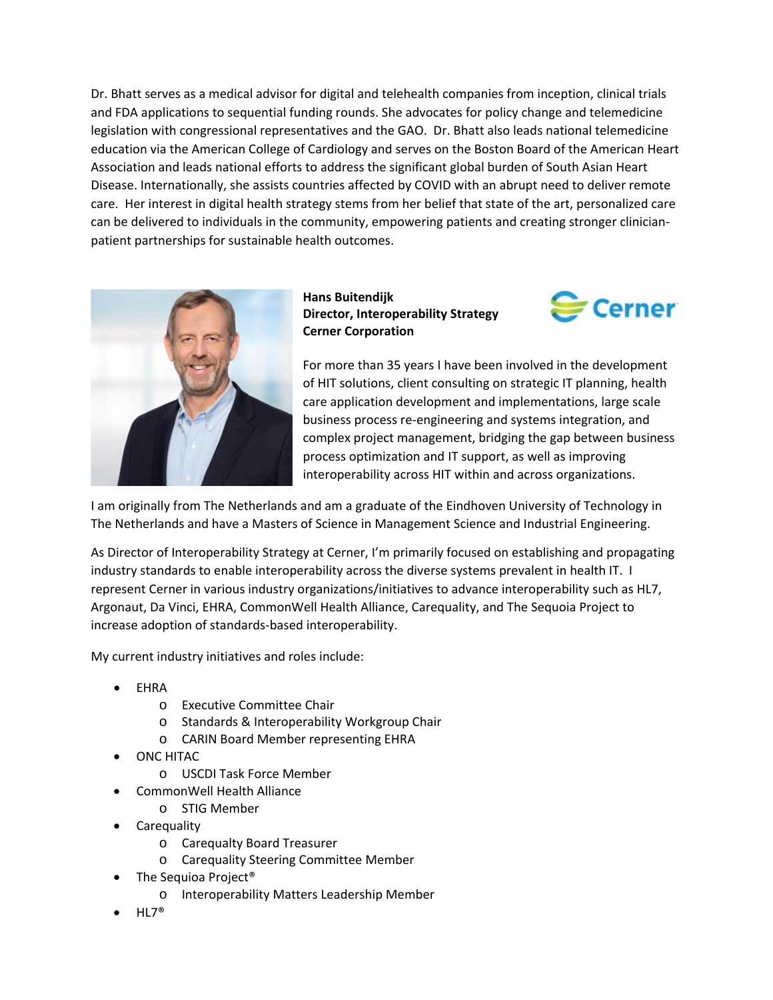Dr. Bhatt serves as a medical advisor for digital and telehealth companies from inception, clinical trials and FDA applications to sequential funding rounds. She advocates for policy change and telemedicine legislation with congressional representatives and the GAO. Dr. Bhatt also leads national telemedicine education via the American College of Cardiology and serves on the Boston Board of the American Heart Association and leads national efforts to address the significant global burden of South Asian Heart Disease. Internationally, she assists countries affected by COVID with an abrupt need to deliver remote care. Her interest in digital health strategy stems from her belief that state of the art, personalized care can be delivered to individuals in the community, empowering patients and creating stronger clinicianpatient partnerships for sustainable health outcomes.



**Hans Buitendijk Director, Interoperability Strategy Cerner Corporation**



For more than 35 years I have been involved in the development of HIT solutions, client consulting on strategic IT planning, health care application development and implementations, large scale business process re-engineering and systems integration, and complex project management, bridging the gap between business process optimization and IT support, as well as improving interoperability across HIT within and across organizations.

I am originally from The Netherlands and am a graduate of the Eindhoven University of Technology in The Netherlands and have a Masters of Science in Management Science and Industrial Engineering.

As Director of Interoperability Strategy at Cerner, I'm primarily focused on establishing and propagating industry standards to enable interoperability across the diverse systems prevalent in health IT. I represent Cerner in various industry organizations/initiatives to advance interoperability such as HL7, Argonaut, Da Vinci, EHRA, CommonWell Health Alliance, Carequality, and The Sequoia Project to increase adoption of standards-based interoperability.

My current industry initiatives and roles include:

- EHRA
	- o Executive Committee Chair
	- o Standards & Interoperability Workgroup Chair
	- o CARIN Board Member representing EHRA
- ONC HITAC
	- o USCDI Task Force Member
- CommonWell Health Alliance
	- o STIG Member
- **Carequality** 
	- o Carequalty Board Treasurer
	- o Carequality Steering Committee Member
- The Sequioa Project<sup>®</sup>
	- o Interoperability Matters Leadership Member
- $HL7^{\circledast}$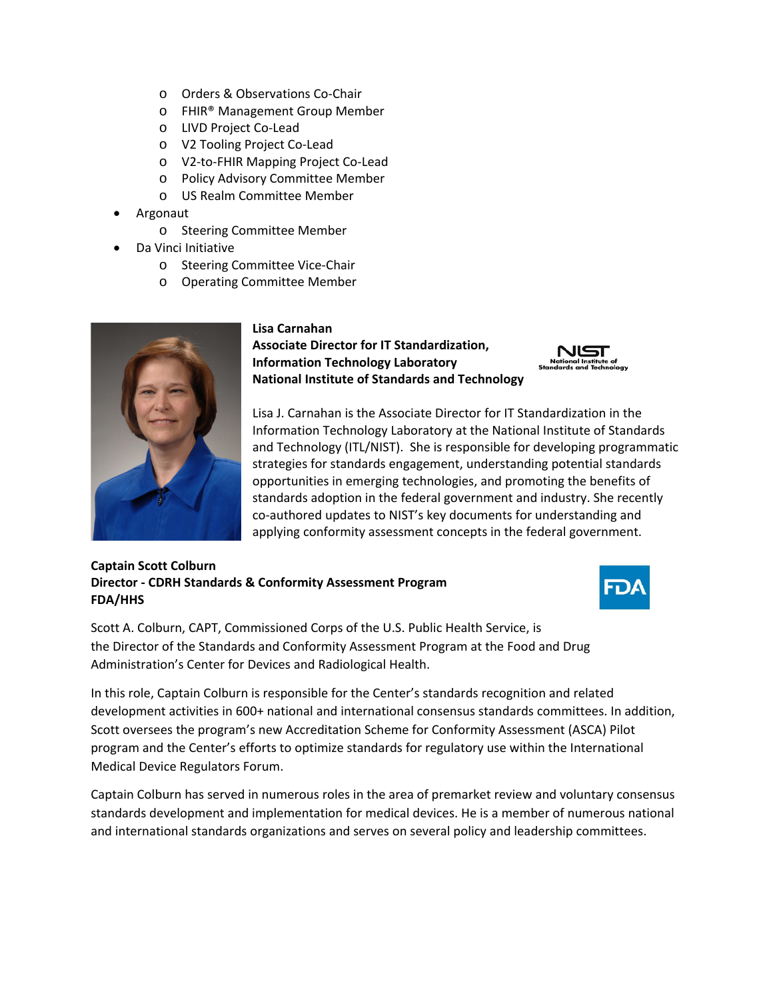- o Orders & Observations Co-Chair
- o FHIR® Management Group Member
- o LIVD Project Co-Lead
- o V2 Tooling Project Co-Lead
- o V2-to-FHIR Mapping Project Co-Lead
- o Policy Advisory Committee Member
- o US Realm Committee Member
- Argonaut
	- o Steering Committee Member
- Da Vinci Initiative
	- o Steering Committee Vice-Chair
	- o Operating Committee Member



#### **Lisa Carnahan Associate Director for IT Standardization, Information Technology Laboratory National Institute of Standards and Technology**



Lisa J. Carnahan is the Associate Director for IT Standardization in the Information Technology Laboratory at the National Institute of Standards and Technology (ITL/NIST). She is responsible for developing programmatic strategies for standards engagement, understanding potential standards opportunities in emerging technologies, and promoting the benefits of standards adoption in the federal government and industry. She recently co-authored updates to NIST's key documents for understanding and applying conformity assessment concepts in the federal government.

#### **Captain Scott Colburn Director - CDRH Standards & Conformity Assessment Program FDA/HHS**



Scott A. Colburn, CAPT, Commissioned Corps of the U.S. Public Health Service, is the Director of the Standards and Conformity Assessment Program at the Food and Drug Administration's Center for Devices and Radiological Health.

In this role, Captain Colburn is responsible for the Center's standards recognition and related development activities in 600+ national and international consensus standards committees. In addition, Scott oversees the program's new Accreditation Scheme for Conformity Assessment (ASCA) Pilot program and the Center's efforts to optimize standards for regulatory use within the International Medical Device Regulators Forum.

Captain Colburn has served in numerous roles in the area of premarket review and voluntary consensus standards development and implementation for medical devices. He is a member of numerous national and international standards organizations and serves on several policy and leadership committees.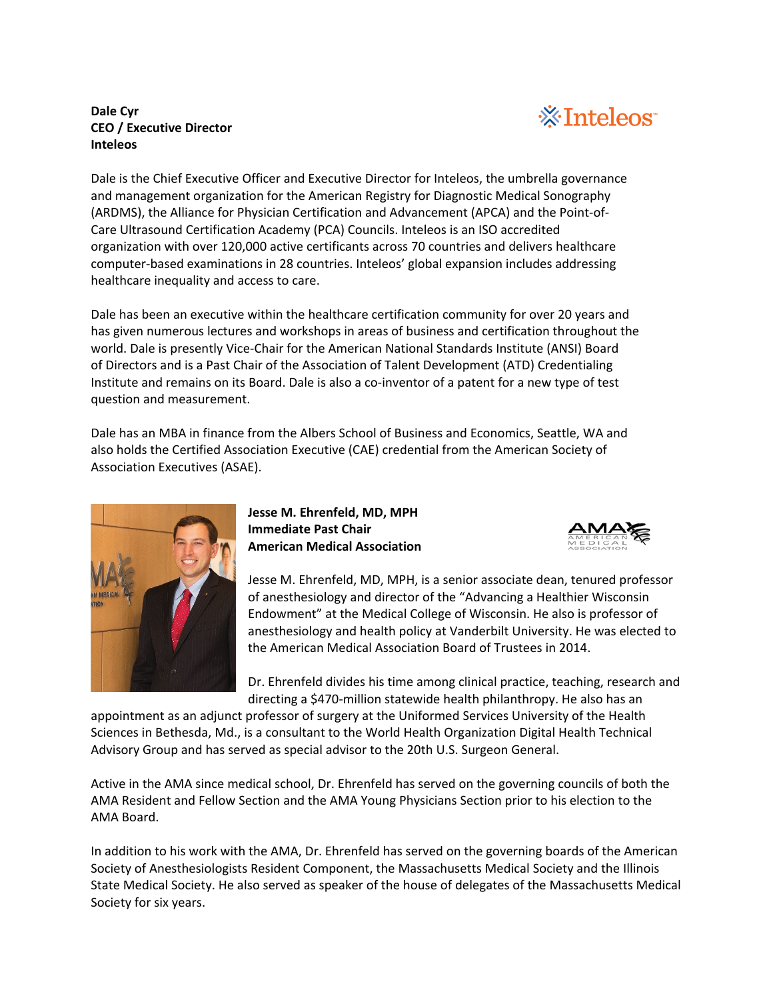#### **Dale Cyr CEO / Executive Director Inteleos**



Dale is the Chief Executive Officer and Executive Director for Inteleos, the umbrella governance and management organization for the American Registry for Diagnostic Medical Sonography (ARDMS), the Alliance for Physician Certification and Advancement (APCA) and the Point-of-Care Ultrasound Certification Academy (PCA) Councils. Inteleos is an ISO accredited organization with over 120,000 active certificants across 70 countries and delivers healthcare computer-based examinations in 28 countries. Inteleos' global expansion includes addressing healthcare inequality and access to care.

Dale has been an executive within the healthcare certification community for over 20 years and has given numerous lectures and workshops in areas of business and certification throughout the world. Dale is presently Vice-Chair for the American National Standards Institute (ANSI) Board of Directors and is a Past Chair of the Association of Talent Development (ATD) Credentialing Institute and remains on its Board. Dale is also a co-inventor of a patent for a new type of test question and measurement.

Dale has an MBA in finance from the Albers School of Business and Economics, Seattle, WA and also holds the Certified Association Executive (CAE) credential from the American Society of Association Executives (ASAE).



**Jesse M. Ehrenfeld, MD, MPH Immediate Past Chair American Medical Association**



Jesse M. Ehrenfeld, MD, MPH, is a senior associate dean, tenured professor of anesthesiology and director of the "Advancing a Healthier Wisconsin Endowment" at the Medical College of Wisconsin. He also is professor of anesthesiology and health policy at Vanderbilt University. He was elected to the American Medical Association Board of Trustees in 2014.

Dr. Ehrenfeld divides his time among clinical practice, teaching, research and directing a \$470-million statewide health philanthropy. He also has an

appointment as an adjunct professor of surgery at the Uniformed Services University of the Health Sciences in Bethesda, Md., is a consultant to the World Health Organization Digital Health Technical Advisory Group and has served as special advisor to the 20th U.S. Surgeon General.

Active in the AMA since medical school, Dr. Ehrenfeld has served on the governing councils of both the AMA Resident and Fellow Section and the AMA Young Physicians Section prior to his election to the AMA Board.

In addition to his work with the AMA, Dr. Ehrenfeld has served on the governing boards of the American Society of Anesthesiologists Resident Component, the Massachusetts Medical Society and the Illinois State Medical Society. He also served as speaker of the house of delegates of the Massachusetts Medical Society for six years.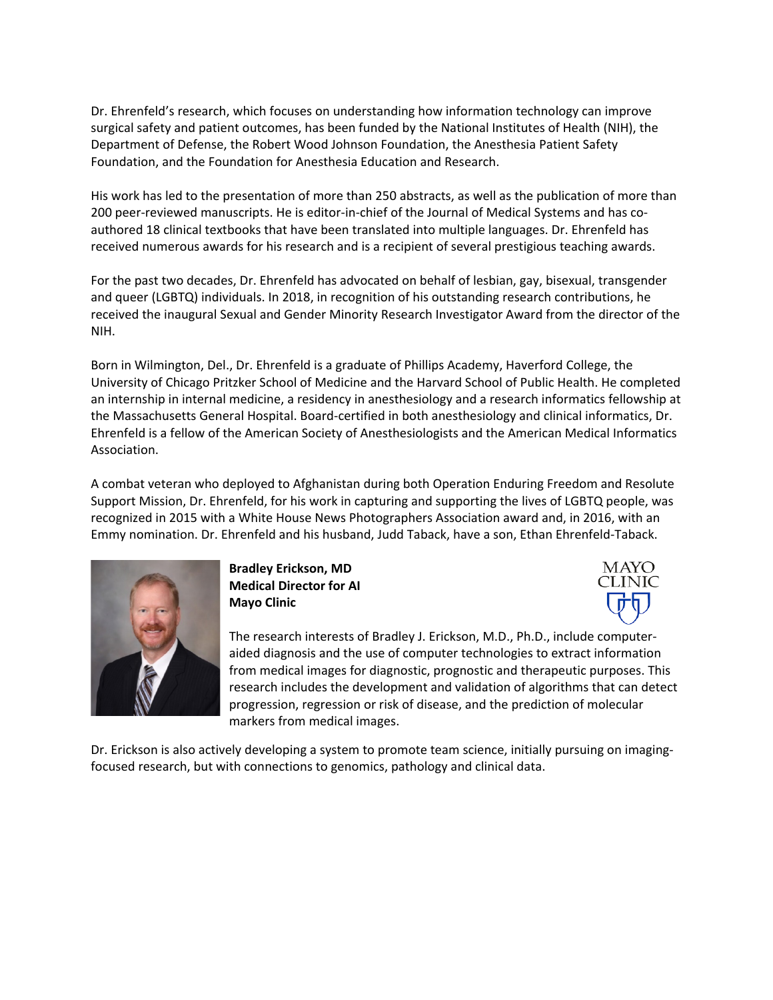Dr. Ehrenfeld's research, which focuses on understanding how information technology can improve surgical safety and patient outcomes, has been funded by the National Institutes of Health (NIH), the Department of Defense, the Robert Wood Johnson Foundation, the Anesthesia Patient Safety Foundation, and the Foundation for Anesthesia Education and Research.

His work has led to the presentation of more than 250 abstracts, as well as the publication of more than 200 peer-reviewed manuscripts. He is editor-in-chief of the Journal of Medical Systems and has coauthored 18 clinical textbooks that have been translated into multiple languages. Dr. Ehrenfeld has received numerous awards for his research and is a recipient of several prestigious teaching awards.

For the past two decades, Dr. Ehrenfeld has advocated on behalf of lesbian, gay, bisexual, transgender and queer (LGBTQ) individuals. In 2018, in recognition of his outstanding research contributions, he received the inaugural Sexual and Gender Minority Research Investigator Award from the director of the NIH.

Born in Wilmington, Del., Dr. Ehrenfeld is a graduate of Phillips Academy, Haverford College, the University of Chicago Pritzker School of Medicine and the Harvard School of Public Health. He completed an internship in internal medicine, a residency in anesthesiology and a research informatics fellowship at the Massachusetts General Hospital. Board-certified in both anesthesiology and clinical informatics, Dr. Ehrenfeld is a fellow of the American Society of Anesthesiologists and the American Medical Informatics Association.

A combat veteran who deployed to Afghanistan during both Operation Enduring Freedom and Resolute Support Mission, Dr. Ehrenfeld, for his work in capturing and supporting the lives of LGBTQ people, was recognized in 2015 with a White House News Photographers Association award and, in 2016, with an Emmy nomination. Dr. Ehrenfeld and his husband, Judd Taback, have a son, Ethan Ehrenfeld-Taback.



**Bradley Erickson, MD Medical Director for AI Mayo Clinic**



The research interests of Bradley J. Erickson, M.D., Ph.D., include computeraided diagnosis and the use of computer technologies to extract information from medical images for diagnostic, prognostic and therapeutic purposes. This research includes the development and validation of algorithms that can detect progression, regression or risk of disease, and the prediction of molecular markers from medical images.

Dr. Erickson is also actively developing a system to promote team science, initially pursuing on imagingfocused research, but with connections to genomics, pathology and clinical data.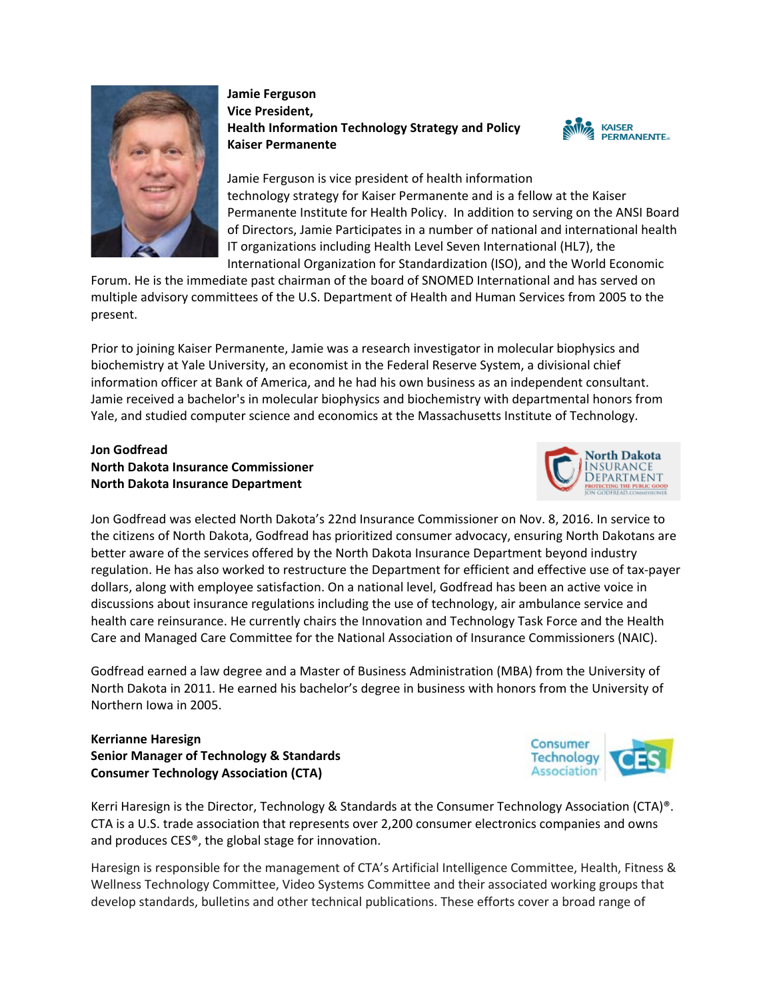

### **Jamie Ferguson Vice President, Health Information Technology Strategy and Policy Kaiser Permanente**



Jamie Ferguson is vice president of health information technology strategy for Kaiser Permanente and is a fellow at the Kaiser Permanente Institute for Health Policy. In addition to serving on the ANSI Board of Directors, Jamie Participates in a number of national and international health IT organizations including Health Level Seven International (HL7), the International Organization for Standardization (ISO), and the World Economic

Forum. He is the immediate past chairman of the board of SNOMED International and has served on multiple advisory committees of the U.S. Department of Health and Human Services from 2005 to the present.

Prior to joining Kaiser Permanente, Jamie was a research investigator in molecular biophysics and biochemistry at Yale University, an economist in the Federal Reserve System, a divisional chief information officer at Bank of America, and he had his own business as an independent consultant. Jamie received a bachelor's in molecular biophysics and biochemistry with departmental honors from Yale, and studied computer science and economics at the Massachusetts Institute of Technology.

## **Jon Godfread North Dakota Insurance Commissioner North Dakota Insurance Department**



Jon Godfread was elected North Dakota's 22nd Insurance Commissioner on Nov. 8, 2016. In service to the citizens of North Dakota, Godfread has prioritized consumer advocacy, ensuring North Dakotans are better aware of the services offered by the North Dakota Insurance Department beyond industry regulation. He has also worked to restructure the Department for efficient and effective use of tax-payer dollars, along with employee satisfaction. On a national level, Godfread has been an active voice in discussions about insurance regulations including the use of technology, air ambulance service and health care reinsurance. He currently chairs the Innovation and Technology Task Force and the Health Care and Managed Care Committee for the National Association of Insurance Commissioners (NAIC).

Godfread earned a law degree and a Master of Business Administration (MBA) from the University of North Dakota in 2011. He earned his bachelor's degree in business with honors from the University of Northern Iowa in 2005.

**Kerrianne Haresign Senior Manager of Technology & Standards Consumer Technology Association (CTA)**

Kerri Haresign is the Director, Technology & Standards at the Consumer Technology Association (CTA)®. CTA is a U.S. trade association that represents over 2,200 consumer electronics companies and owns and produces CES®, the global stage for innovation.

Haresign is responsible for the management of CTA's Artificial Intelligence Committee, Health, Fitness & Wellness Technology Committee, Video Systems Committee and their associated working groups that develop standards, bulletins and other technical publications. These efforts cover a broad range of

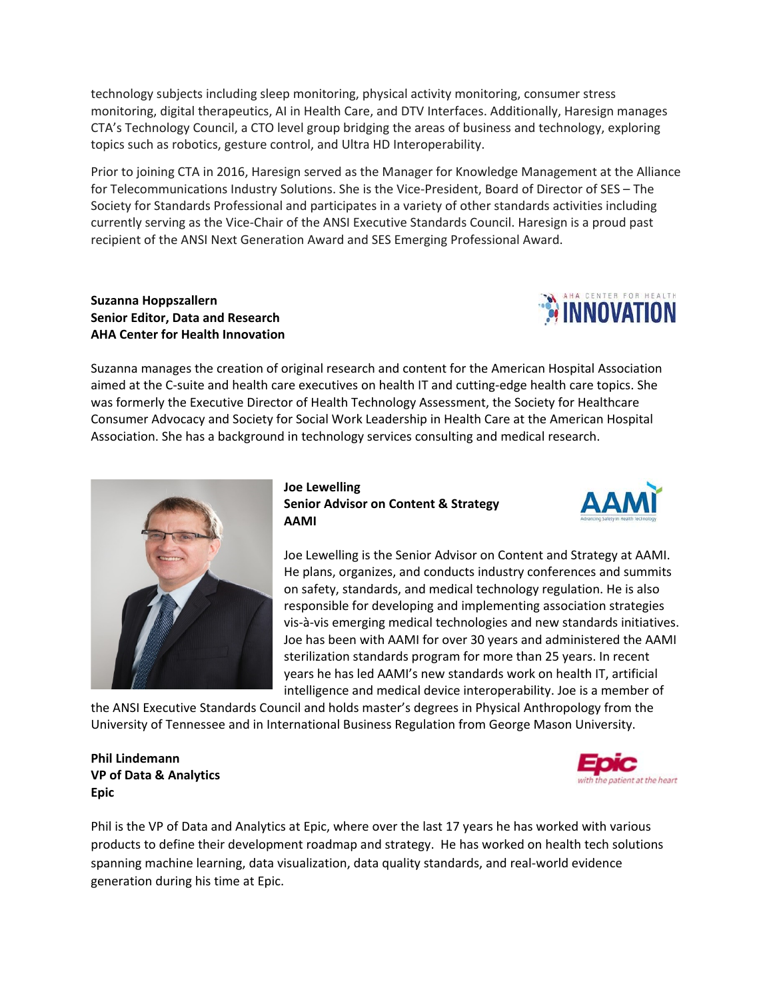technology subjects including sleep monitoring, physical activity monitoring, consumer stress monitoring, digital therapeutics, AI in Health Care, and DTV Interfaces. Additionally, Haresign manages CTA's Technology Council, a CTO level group bridging the areas of business and technology, exploring topics such as robotics, gesture control, and Ultra HD Interoperability.

Prior to joining CTA in 2016, Haresign served as the Manager for Knowledge Management at the Alliance for Telecommunications Industry Solutions. She is the Vice-President, Board of Director of SES – The Society for Standards Professional and participates in a variety of other standards activities including currently serving as the Vice-Chair of the ANSI Executive Standards Council. Haresign is a proud past recipient of the ANSI Next Generation Award and SES Emerging Professional Award.

#### **Suzanna Hoppszallern Senior Editor, Data and Research AHA Center for Health Innovation**



Suzanna manages the creation of original research and content for the American Hospital Association aimed at the C-suite and health care executives on health IT and cutting-edge health care topics. She was formerly the Executive Director of Health Technology Assessment, the Society for Healthcare Consumer Advocacy and Society for Social Work Leadership in Health Care at the American Hospital Association. She has a background in technology services consulting and medical research.



**Joe Lewelling Senior Advisor on Content & Strategy AAMI**



Joe Lewelling is the Senior Advisor on Content and Strategy at AAMI. He plans, organizes, and conducts industry conferences and summits on safety, standards, and medical technology regulation. He is also responsible for developing and implementing association strategies vis-à-vis emerging medical technologies and new standards initiatives. Joe has been with AAMI for over 30 years and administered the AAMI sterilization standards program for more than 25 years. In recent years he has led AAMI's new standards work on health IT, artificial intelligence and medical device interoperability. Joe is a member of

the ANSI Executive Standards Council and holds master's degrees in Physical Anthropology from the University of Tennessee and in International Business Regulation from George Mason University.

**Phil Lindemann VP of Data & Analytics Epic**



Phil is the VP of Data and Analytics at Epic, where over the last 17 years he has worked with various products to define their development roadmap and strategy. He has worked on health tech solutions spanning machine learning, data visualization, data quality standards, and real-world evidence generation during his time at Epic.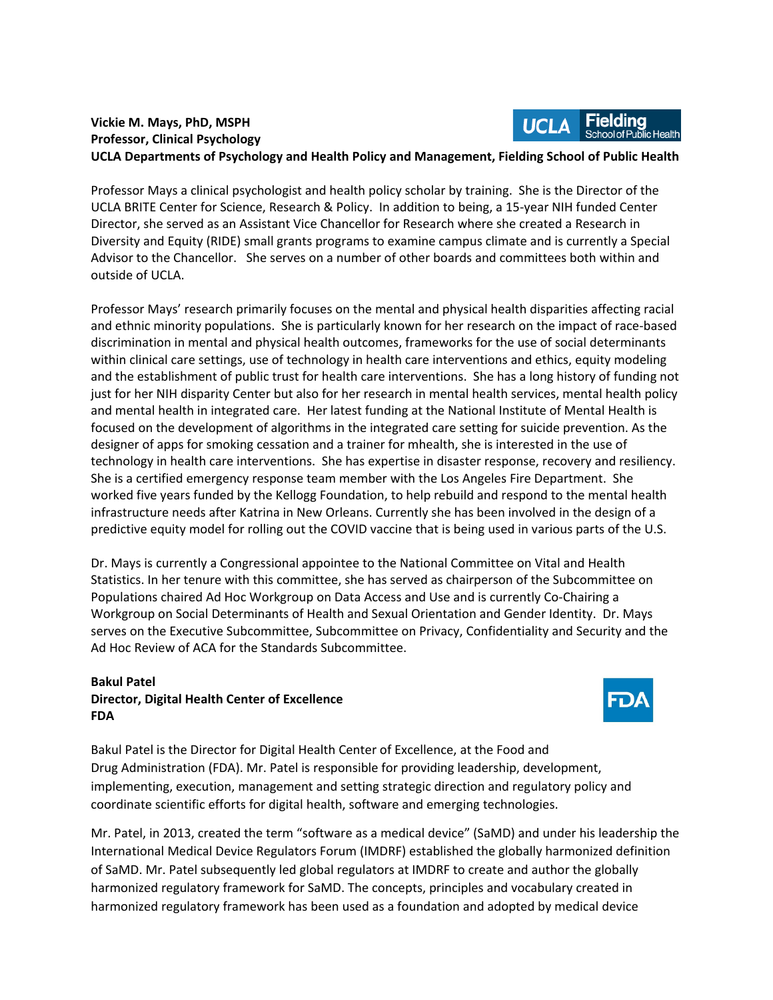#### Fieldina **Vickie M. Mays, PhD, MSPH UCLA Professor, Clinical Psychology UCLA Departments of Psychology and Health Policy and Management, Fielding School of Public Health**

Professor Mays a clinical psychologist and health policy scholar by training. She is the Director of the UCLA BRITE Center for Science, Research & Policy. In addition to being, a 15-year NIH funded Center Director, she served as an Assistant Vice Chancellor for Research where she created a Research in Diversity and Equity (RIDE) small grants programs to examine campus climate and is currently a Special Advisor to the Chancellor. She serves on a number of other boards and committees both within and outside of UCLA.

Professor Mays' research primarily focuses on the mental and physical health disparities affecting racial and ethnic minority populations. She is particularly known for her research on the impact of race-based discrimination in mental and physical health outcomes, frameworks for the use of social determinants within clinical care settings, use of technology in health care interventions and ethics, equity modeling and the establishment of public trust for health care interventions. She has a long history of funding not just for her NIH disparity Center but also for her research in mental health services, mental health policy and mental health in integrated care. Her latest funding at the National Institute of Mental Health is focused on the development of algorithms in the integrated care setting for suicide prevention. As the designer of apps for smoking cessation and a trainer for mhealth, she is interested in the use of technology in health care interventions. She has expertise in disaster response, recovery and resiliency. She is a certified emergency response team member with the Los Angeles Fire Department. She worked five years funded by the Kellogg Foundation, to help rebuild and respond to the mental health infrastructure needs after Katrina in New Orleans. Currently she has been involved in the design of a predictive equity model for rolling out the COVID vaccine that is being used in various parts of the U.S.

Dr. Mays is currently a Congressional appointee to the National Committee on Vital and Health Statistics. In her tenure with this committee, she has served as chairperson of the Subcommittee on Populations chaired Ad Hoc Workgroup on Data Access and Use and is currently Co-Chairing a Workgroup on Social Determinants of Health and Sexual Orientation and Gender Identity. Dr. Mays serves on the Executive Subcommittee, Subcommittee on Privacy, Confidentiality and Security and the Ad Hoc Review of ACA for the Standards Subcommittee.

#### **Bakul Patel Director, Digital Health Center of Excellence FDA**



Bakul Patel is the Director for Digital Health Center of Excellence, at the Food and Drug Administration (FDA). Mr. Patel is responsible for providing leadership, development, implementing, execution, management and setting strategic direction and regulatory policy and coordinate scientific efforts for digital health, software and emerging technologies.

Mr. Patel, in 2013, created the term "software as a medical device" (SaMD) and under his leadership the International Medical Device Regulators Forum (IMDRF) established the globally harmonized definition of SaMD. Mr. Patel subsequently led global regulators at IMDRF to create and author the globally harmonized regulatory framework for SaMD. The concepts, principles and vocabulary created in harmonized regulatory framework has been used as a foundation and adopted by medical device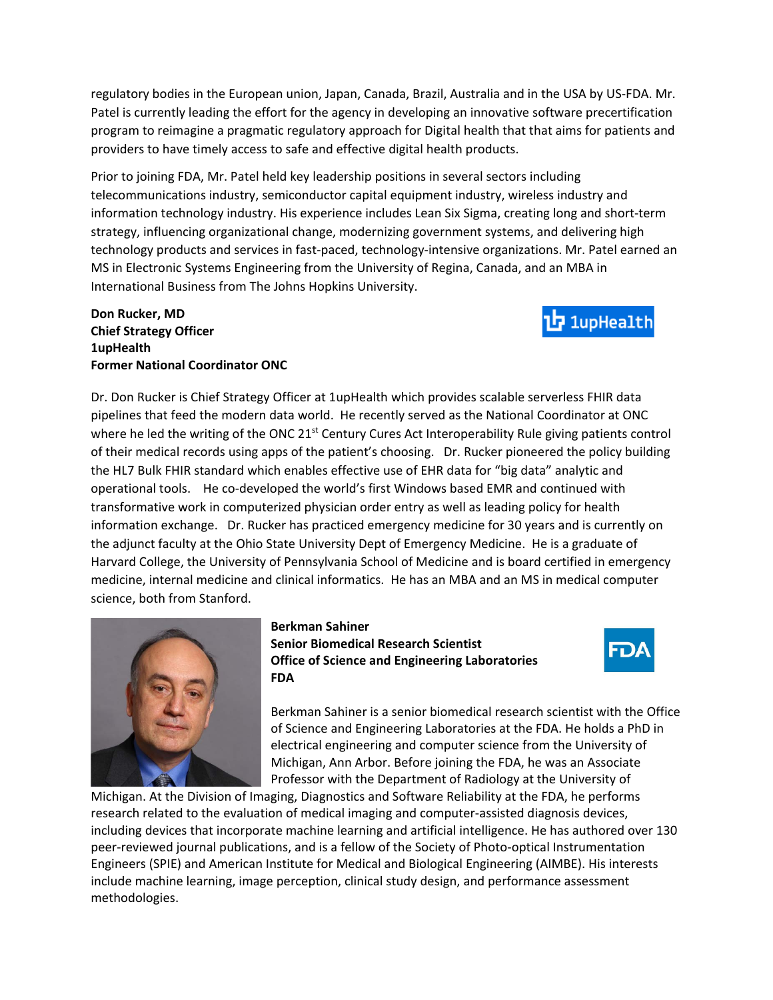regulatory bodies in the European union, Japan, Canada, Brazil, Australia and in the USA by US-FDA. Mr. Patel is currently leading the effort for the agency in developing an innovative software precertification program to reimagine a pragmatic regulatory approach for Digital health that that aims for patients and providers to have timely access to safe and effective digital health products.

Prior to joining FDA, Mr. Patel held key leadership positions in several sectors including telecommunications industry, semiconductor capital equipment industry, wireless industry and information technology industry. His experience includes Lean Six Sigma, creating long and short-term strategy, influencing organizational change, modernizing government systems, and delivering high technology products and services in fast-paced, technology-intensive organizations. Mr. Patel earned an MS in Electronic Systems Engineering from the University of Regina, Canada, and an MBA in International Business from The Johns Hopkins University.

### **Don Rucker, MD Chief Strategy Officer 1upHealth Former National Coordinator ONC**

Dr. Don Rucker is Chief Strategy Officer at 1upHealth which provides scalable serverless FHIR data pipelines that feed the modern data world. He recently served as the National Coordinator at ONC where he led the writing of the ONC  $21<sup>st</sup>$  Century Cures Act Interoperability Rule giving patients control of their medical records using apps of the patient's choosing. Dr. Rucker pioneered the policy building the HL7 Bulk FHIR standard which enables effective use of EHR data for "big data" analytic and operational tools. He co-developed the world's first Windows based EMR and continued with transformative work in computerized physician order entry as well as leading policy for health information exchange. Dr. Rucker has practiced emergency medicine for 30 years and is currently on the adjunct faculty at the Ohio State University Dept of Emergency Medicine. He is a graduate of Harvard College, the University of Pennsylvania School of Medicine and is board certified in emergency medicine, internal medicine and clinical informatics. He has an MBA and an MS in medical computer science, both from Stanford.



**Berkman Sahiner Senior Biomedical Research Scientist Office of Science and Engineering Laboratories FDA**



1upHealth

Berkman Sahiner is a senior biomedical research scientist with the Office of Science and Engineering Laboratories at the FDA. He holds a PhD in electrical engineering and computer science from the University of Michigan, Ann Arbor. Before joining the FDA, he was an Associate Professor with the Department of Radiology at the University of

Michigan. At the Division of Imaging, Diagnostics and Software Reliability at the FDA, he performs research related to the evaluation of medical imaging and computer-assisted diagnosis devices, including devices that incorporate machine learning and artificial intelligence. He has authored over 130 peer-reviewed journal publications, and is a fellow of the Society of Photo-optical Instrumentation Engineers (SPIE) and American Institute for Medical and Biological Engineering (AIMBE). His interests include machine learning, image perception, clinical study design, and performance assessment methodologies.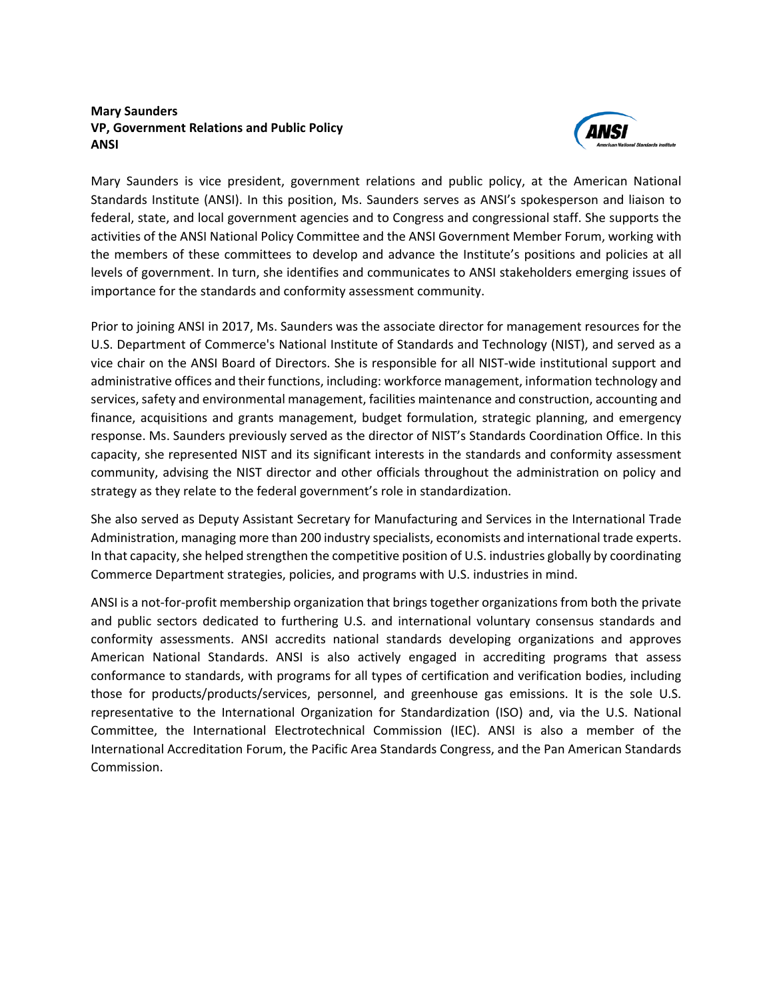### **Mary Saunders VP, Government Relations and Public Policy ANSI**



Mary Saunders is vice president, government relations and public policy, at the American National Standards Institute (ANSI). In this position, Ms. Saunders serves as ANSI's spokesperson and liaison to federal, state, and local government agencies and to Congress and congressional staff. She supports the activities of the ANSI National Policy Committee and the ANSI Government Member Forum, working with the members of these committees to develop and advance the Institute's positions and policies at all levels of government. In turn, she identifies and communicates to ANSI stakeholders emerging issues of importance for the standards and conformity assessment community.

Prior to joining ANSI in 2017, Ms. Saunders was the associate director for management resources for the U.S. Department of Commerce's National Institute of Standards and Technology (NIST), and served as a vice chair on the ANSI Board of Directors. She is responsible for all NIST-wide institutional support and administrative offices and their functions, including: workforce management, information technology and services, safety and environmental management, facilities maintenance and construction, accounting and finance, acquisitions and grants management, budget formulation, strategic planning, and emergency response. Ms. Saunders previously served as the director of NIST's Standards Coordination Office. In this capacity, she represented NIST and its significant interests in the standards and conformity assessment community, advising the NIST director and other officials throughout the administration on policy and strategy as they relate to the federal government's role in standardization.

She also served as Deputy Assistant Secretary for Manufacturing and Services in the International Trade Administration, managing more than 200 industry specialists, economists and international trade experts. In that capacity, she helped strengthen the competitive position of U.S. industries globally by coordinating Commerce Department strategies, policies, and programs with U.S. industries in mind.

ANSI is a not-for-profit membership organization that brings together organizations from both the private and public sectors dedicated to furthering U.S. and international voluntary consensus standards and conformity assessments. ANSI accredits national standards developing organizations and approves American National Standards. ANSI is also actively engaged in accrediting programs that assess conformance to standards, with programs for all types of certification and verification bodies, including those for products/products/services, personnel, and greenhouse gas emissions. It is the sole U.S. representative to the International Organization for Standardization (ISO) and, via the U.S. National Committee, the International Electrotechnical Commission (IEC). ANSI is also a member of the International Accreditation Forum, the Pacific Area Standards Congress, and the Pan American Standards Commission.